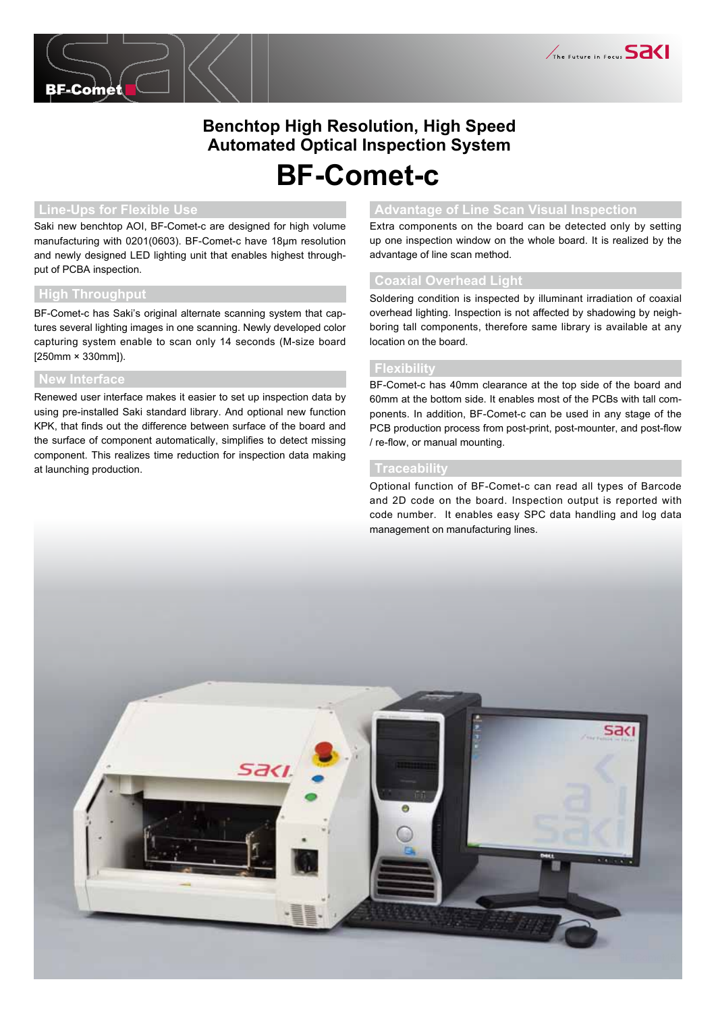

# **Benchtop High Resolution, High Speed Automated Optical Inspection System**

# **BF-Comet-c**

Saki new benchtop AOI, BF-Comet-c are designed for high volume manufacturing with 0201(0603). BF-Comet-c have 18μm resolution and newly designed LED lighting unit that enables highest throughput of PCBA inspection.

#### **High Throughput**

BF-Comet-c has Saki's original alternate scanning system that captures several lighting images in one scanning. Newly developed color capturing system enable to scan only 14 seconds (M-size board [250mm × 330mm]).

#### **New Interface**

Renewed user interface makes it easier to set up inspection data by using pre-installed Saki standard library. And optional new function KPK, that finds out the difference between surface of the board and the surface of component automatically, simplifies to detect missing component. This realizes time reduction for inspection data making at launching production.

### **Line-Ups for Flexible Use Advantage of Line Scan Visual Inspection**

Extra components on the board can be detected only by setting up one inspection window on the whole board. It is realized by the advantage of line scan method.

#### **Coaxial Overhead Light**

Soldering condition is inspected by illuminant irradiation of coaxial overhead lighting. Inspection is not affected by shadowing by neighboring tall components, therefore same library is available at any location on the board.

#### **Flexibility**

BF-Comet-c has 40mm clearance at the top side of the board and 60mm at the bottom side. It enables most of the PCBs with tall components. In addition, BF-Comet-c can be used in any stage of the PCB production process from post-print, post-mounter, and post-flow / re-flow, or manual mounting.

#### **Traceability**

Optional function of BF-Comet-c can read all types of Barcode and 2D code on the board. Inspection output is reported with code number. It enables easy SPC data handling and log data management on manufacturing lines.